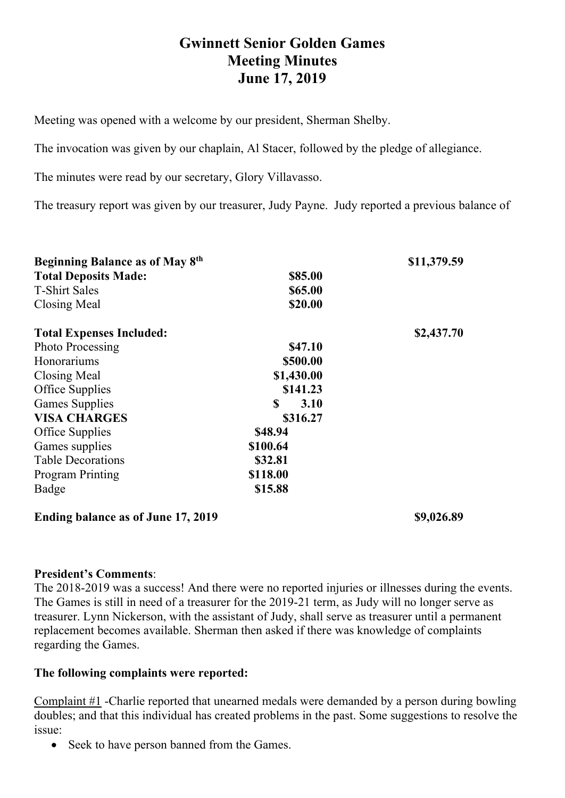# **Gwinnett Senior Golden Games Meeting Minutes June 17, 2019**

Meeting was opened with a welcome by our president, Sherman Shelby.

The invocation was given by our chaplain, Al Stacer, followed by the pledge of allegiance.

The minutes were read by our secretary, Glory Villavasso.

The treasury report was given by our treasurer, Judy Payne. Judy reported a previous balance of

| Beginning Balance as of May 8th |                     | \$11,379.59 |
|---------------------------------|---------------------|-------------|
| <b>Total Deposits Made:</b>     | \$85.00             |             |
| <b>T-Shirt Sales</b>            | \$65.00             |             |
| Closing Meal                    | \$20.00             |             |
| <b>Total Expenses Included:</b> |                     | \$2,437.70  |
| <b>Photo Processing</b>         | \$47.10             |             |
| Honorariums                     | \$500.00            |             |
| Closing Meal                    | \$1,430.00          |             |
| Office Supplies                 | \$141.23            |             |
| <b>Games Supplies</b>           | $\mathbf S$<br>3.10 |             |
| <b>VISA CHARGES</b>             | \$316.27            |             |
| Office Supplies                 | \$48.94             |             |
| Games supplies                  | \$100.64            |             |
| <b>Table Decorations</b>        | \$32.81             |             |
| <b>Program Printing</b>         | \$118.00            |             |
| Badge                           | \$15.88             |             |

#### **Ending balance as of June 17, 2019 \$9,026.89**

#### **President's Comments**:

The 2018-2019 was a success! And there were no reported injuries or illnesses during the events. The Games is still in need of a treasurer for the 2019-21 term, as Judy will no longer serve as treasurer. Lynn Nickerson, with the assistant of Judy, shall serve as treasurer until a permanent replacement becomes available. Sherman then asked if there was knowledge of complaints regarding the Games.

#### **The following complaints were reported:**

Complaint #1 -Charlie reported that unearned medals were demanded by a person during bowling doubles; and that this individual has created problems in the past. Some suggestions to resolve the issue:

• Seek to have person banned from the Games.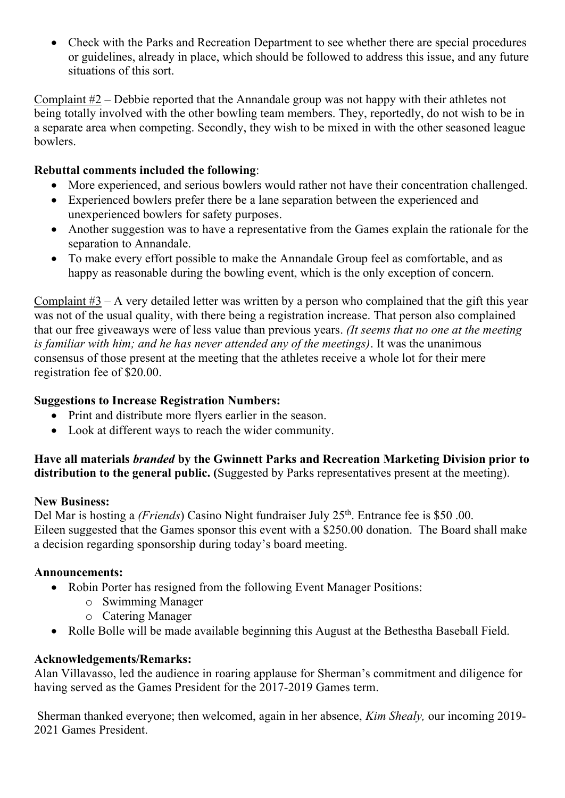• Check with the Parks and Recreation Department to see whether there are special procedures or guidelines, already in place, which should be followed to address this issue, and any future situations of this sort.

Complaint #2 – Debbie reported that the Annandale group was not happy with their athletes not being totally involved with the other bowling team members. They, reportedly, do not wish to be in a separate area when competing. Secondly, they wish to be mixed in with the other seasoned league bowlers.

## **Rebuttal comments included the following**:

- More experienced, and serious bowlers would rather not have their concentration challenged.
- Experienced bowlers prefer there be a lane separation between the experienced and unexperienced bowlers for safety purposes.
- Another suggestion was to have a representative from the Games explain the rationale for the separation to Annandale.
- To make every effort possible to make the Annandale Group feel as comfortable, and as happy as reasonable during the bowling event, which is the only exception of concern.

Complaint #3 – A very detailed letter was written by a person who complained that the gift this year was not of the usual quality, with there being a registration increase. That person also complained that our free giveaways were of less value than previous years. *(It seems that no one at the meeting is familiar with him; and he has never attended any of the meetings)*. It was the unanimous consensus of those present at the meeting that the athletes receive a whole lot for their mere registration fee of \$20.00.

### **Suggestions to Increase Registration Numbers:**

- Print and distribute more flyers earlier in the season.
- Look at different ways to reach the wider community.

#### **Have all materials** *branded* **by the Gwinnett Parks and Recreation Marketing Division prior to distribution to the general public. (**Suggested by Parks representatives present at the meeting).

#### **New Business:**

Del Mar is hosting a *(Friends*) Casino Night fundraiser July 25<sup>th</sup>. Entrance fee is \$50.00. Eileen suggested that the Games sponsor this event with a \$250.00 donation. The Board shall make a decision regarding sponsorship during today's board meeting.

## **Announcements:**

- Robin Porter has resigned from the following Event Manager Positions:
	- o Swimming Manager
	- o Catering Manager
- Rolle Bolle will be made available beginning this August at the Bethestha Baseball Field.

#### **Acknowledgements/Remarks:**

Alan Villavasso, led the audience in roaring applause for Sherman's commitment and diligence for having served as the Games President for the 2017-2019 Games term.

Sherman thanked everyone; then welcomed, again in her absence, *Kim Shealy,* our incoming 2019- 2021 Games President.